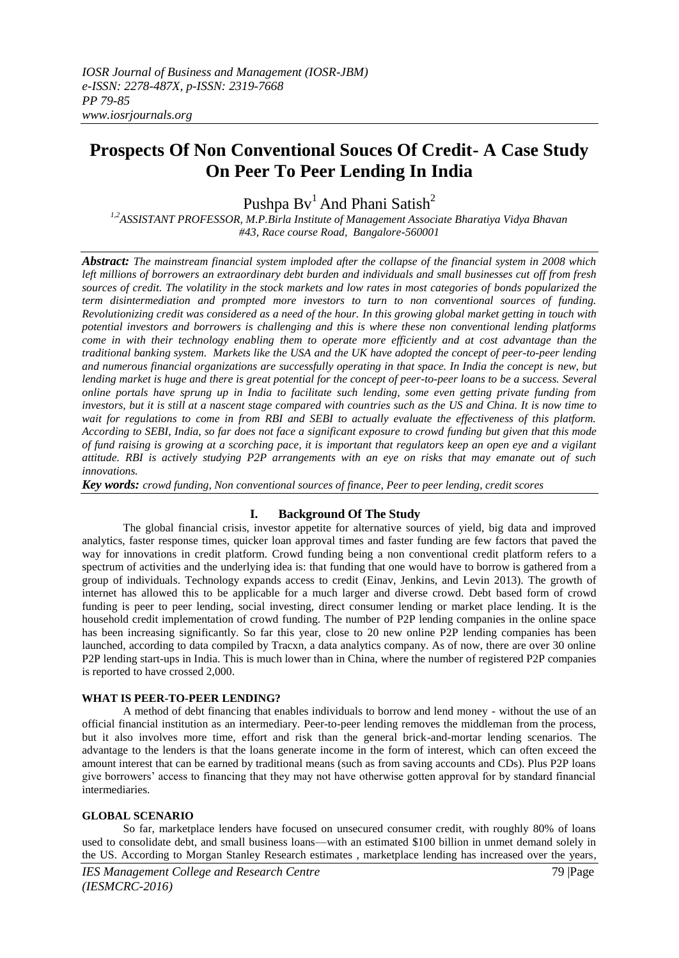# **Prospects Of Non Conventional Souces Of Credit- A Case Study On Peer To Peer Lending In India**

Pushpa Bv<sup>1</sup> And Phani Satish<sup>2</sup>

*1,2ASSISTANT PROFESSOR, M.P.Birla Institute of Management Associate Bharatiya Vidya Bhavan #43, Race course Road, Bangalore-560001*

*Abstract: The mainstream financial system imploded after the collapse of the financial system in 2008 which left millions of borrowers an extraordinary debt burden and individuals and small businesses cut off from fresh sources of credit. The volatility in the stock markets and low rates in most categories of bonds popularized the term disintermediation and prompted more investors to turn to non conventional sources of funding. Revolutionizing credit was considered as a need of the hour. In this growing global market getting in touch with potential investors and borrowers is challenging and this is where these non conventional lending platforms come in with their technology enabling them to operate more efficiently and at cost advantage than the traditional banking system. Markets like the USA and the UK have adopted the concept of peer-to-peer lending and numerous financial organizations are successfully operating in that space. In India the concept is new, but lending market is huge and there is great potential for the concept of peer-to-peer loans to be a success. Several online portals have sprung up in India to facilitate such lending, some even getting private funding from investors, but it is still at a nascent stage compared with countries such as the US and China. It is now time to wait for regulations to come in from RBI and SEBI to actually evaluate the effectiveness of this platform. According to SEBI, India, so far does not face a significant exposure to crowd funding but given that this mode of fund raising is growing at a scorching pace, it is important that regulators keep an open eye and a vigilant attitude. RBI is actively studying P2P arrangements with an eye on risks that may emanate out of such innovations.* 

*Key words: crowd funding, Non conventional sources of finance, Peer to peer lending, credit scores*

# **I. Background Of The Study**

The global financial crisis, investor appetite for alternative sources of yield, big data and improved analytics, faster response times, quicker loan approval times and faster funding are few factors that paved the way for innovations in credit platform. Crowd funding being a non conventional credit platform refers to a spectrum of activities and the underlying idea is: that funding that one would have to borrow is gathered from a group of individuals. Technology expands access to credit (Einav, Jenkins, and Levin 2013). The growth of internet has allowed this to be applicable for a much larger and diverse crowd. Debt based form of crowd funding is peer to peer lending, social investing, direct consumer lending or market place lending. It is the household credit implementation of crowd funding. The number of P2P lending companies in the online space has been increasing significantly. So far this year, close to 20 new online P2P lending companies has been launched, according to data compiled by Tracxn, a data analytics company. As of now, there are over 30 online P2P lending start-ups in India. This is much lower than in China, where the number of registered P2P companies is reported to have crossed 2,000.

### **WHAT IS PEER-TO-PEER LENDING?**

A method of debt financing that enables individuals to borrow and lend money - without the use of an official financial institution as an intermediary. Peer-to-peer lending removes the middleman from the process, but it also involves more time, effort and risk than the general brick-and-mortar lending scenarios. The advantage to the lenders is that the loans generate income in the form of interest, which can often exceed the amount interest that can be earned by traditional means (such as from saving accounts and CDs). Plus P2P loans give borrowers' access to financing that they may not have otherwise gotten approval for by standard financial intermediaries.

### **GLOBAL SCENARIO**

So far, marketplace lenders have focused on unsecured consumer credit, with roughly 80% of loans used to consolidate debt, and small business loans—with an estimated \$100 billion in unmet demand solely in the US. According to Morgan Stanley Research estimates , marketplace lending has increased over the years,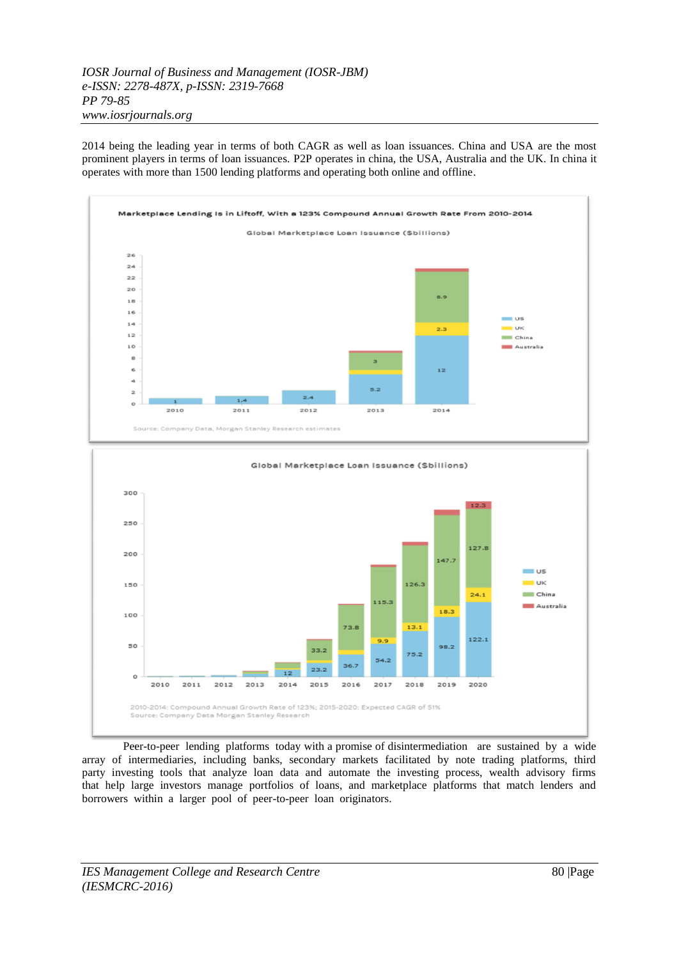*IOSR Journal of Business and Management (IOSR-JBM) e-ISSN: 2278-487X, p-ISSN: 2319-7668 PP 79-85 www.iosrjournals.org*

2014 being the leading year in terms of both CAGR as well as loan issuances. China and USA are the most prominent players in terms of loan issuances. P2P operates in china, the USA, Australia and the UK. In china it operates with more than 1500 lending platforms and operating both online and offline.



2016 2018 2010-2014: Compound Annual Growth Rate of 123%: 2015-2020: Expected CAGR of 51% Source: Company Data Morgan Stanley Research

Peer-to-peer lending platforms today with a promise of disintermediation are sustained by a wide array of intermediaries, including banks, secondary markets facilitated by note trading platforms, third party investing tools that analyze loan data and automate the investing process, wealth advisory firms that help large investors manage portfolios of loans, and marketplace platforms that match lenders and borrowers within a larger pool of peer-to-peer loan originators.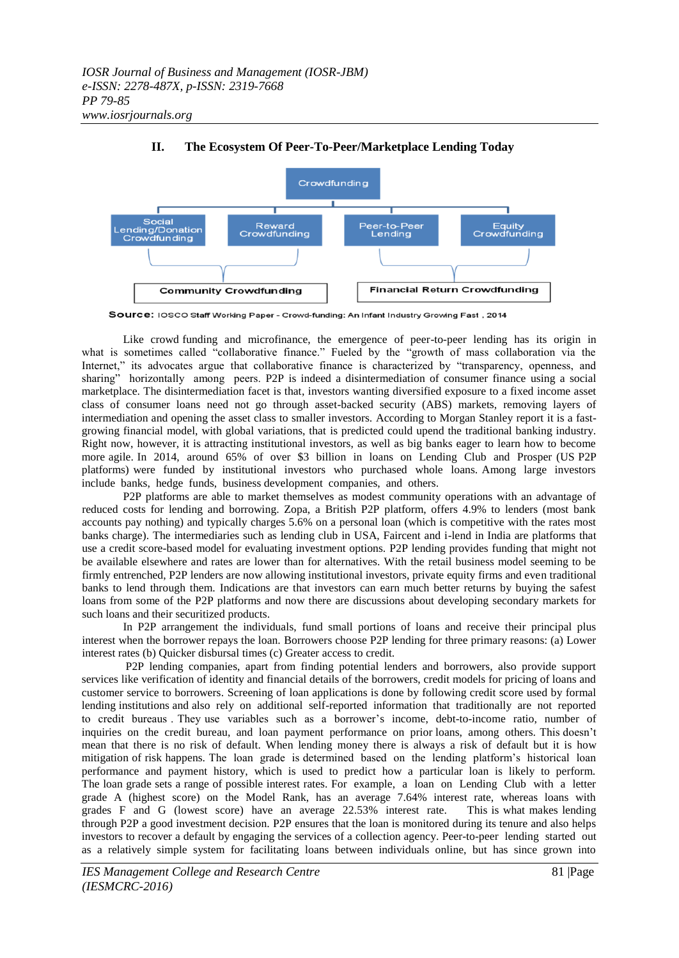

# **II. The Ecosystem Of Peer-To-Peer/Marketplace Lending Today**

Source: IOSCO Staff Working Paper - Crowd-funding: An Infant Industry Growing Fast, 2014

Like crowd funding and microfinance, the emergence of peer-to-peer lending has its origin in what is sometimes called "collaborative finance." Fueled by the "growth of mass collaboration via the Internet," its advocates argue that collaborative finance is characterized by "transparency, openness, and sharing" horizontally among peers. P2P is indeed a disintermediation of consumer finance using a social marketplace. The disintermediation facet is that, investors wanting diversified exposure to a fixed income asset class of consumer loans need not go through asset-backed security (ABS) markets, removing layers of intermediation and opening the asset class to smaller investors. According to Morgan Stanley report it is a fastgrowing financial model, with global variations, that is predicted could upend the traditional banking industry. Right now, however, it is attracting institutional investors, as well as big banks eager to learn how to become more agile. In 2014, around 65% of over \$3 billion in loans on Lending Club and Prosper (US P2P platforms) were funded by institutional investors who purchased whole loans. Among large investors include banks, hedge funds, business development companies, and others.

P2P platforms are able to market themselves as modest community operations with an advantage of reduced costs for lending and borrowing. Zopa, a British P2P platform, offers 4.9% to lenders (most bank accounts pay nothing) and typically charges 5.6% on a personal loan (which is competitive with the rates most banks charge). The intermediaries such as lending club in USA, Faircent and i-lend in India are platforms that use a credit score-based model for evaluating investment options. P2P lending provides funding that might not be available elsewhere and rates are lower than for alternatives. With the retail business model seeming to be firmly entrenched, P2P lenders are now allowing institutional investors, private equity firms and even traditional banks to lend through them. Indications are that investors can earn much better returns by buying the safest loans from some of the P2P platforms and now there are discussions about developing secondary markets for such loans and their securitized products.

In P2P arrangement the individuals, fund small portions of loans and receive their principal plus interest when the borrower repays the loan. Borrowers choose P2P lending for three primary reasons: (a) Lower interest rates (b) Quicker disbursal times (c) Greater access to credit.

P2P lending companies, apart from finding potential lenders and borrowers, also provide support services like verification of identity and financial details of the borrowers, credit models for pricing of loans and customer service to borrowers. Screening of loan applications is done by following credit score used by formal lending institutions and also rely on additional self-reported information that traditionally are not reported to credit bureaus . They use variables such as a borrower's income, debt-to-income ratio, number of inquiries on the credit bureau, and loan payment performance on prior loans, among others. This doesn't mean that there is no risk of default. When lending money there is always a risk of default but it is how mitigation of risk happens. The loan grade is determined based on the lending platform's historical loan performance and payment history, which is used to predict how a particular loan is likely to perform. The loan grade sets a range of possible interest rates. For example, a loan on Lending Club with a letter grade A (highest score) on the Model Rank, has an average 7.64% interest rate, whereas loans with grades F and G (lowest score) have an average 22.53% interest rate. This is what makes lending through P2P a good investment decision. P2P ensures that the loan is monitored during its tenure and also helps investors to recover a default by engaging the services of a collection agency. Peer-to-peer lending started out as a relatively simple system for facilitating loans between individuals online, but has since grown into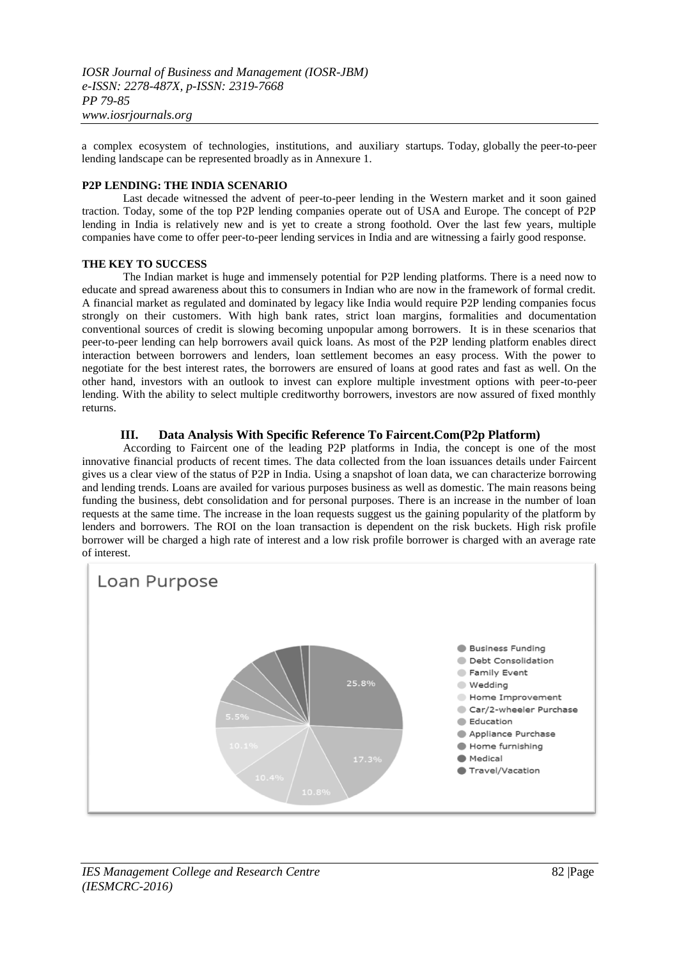a complex ecosystem of technologies, institutions, and auxiliary startups. Today, globally the peer-to-peer lending landscape can be represented broadly as in Annexure 1.

# **P2P LENDING: THE INDIA SCENARIO**

Last decade witnessed the advent of peer-to-peer lending in the Western market and it soon gained traction. Today, some of the top P2P lending companies operate out of USA and Europe. The concept of P2P lending in India is relatively new and is yet to create a strong foothold. Over the last few years, multiple companies have come to offer peer-to-peer lending services in India and are witnessing a fairly good response.

### **THE KEY TO SUCCESS**

The Indian market is huge and immensely potential for P2P lending platforms. There is a need now to educate and spread awareness about this to consumers in Indian who are now in the framework of formal credit. A financial market as regulated and dominated by legacy like India would require P2P lending companies focus strongly on their customers. With high bank rates, strict loan margins, formalities and documentation conventional sources of credit is slowing becoming unpopular among borrowers. It is in these scenarios that peer-to-peer lending can help borrowers avail quick loans. As most of the P2P lending platform enables direct interaction between borrowers and lenders, loan settlement becomes an easy process. With the power to negotiate for the best interest rates, the borrowers are ensured of loans at good rates and fast as well. On the other hand, investors with an outlook to invest can explore multiple investment options with peer-to-peer lending. With the ability to select multiple creditworthy borrowers, investors are now assured of fixed monthly returns.

# **III. Data Analysis With Specific Reference To Faircent.Com(P2p Platform)**

According to Faircent one of the leading P2P platforms in India, the concept is one of the most innovative financial products of recent times. The data collected from the loan issuances details under Faircent gives us a clear view of the status of P2P in India. Using a snapshot of loan data, we can characterize borrowing and lending trends. Loans are availed for various purposes business as well as domestic. The main reasons being funding the business, debt consolidation and for personal purposes. There is an increase in the number of loan requests at the same time. The increase in the loan requests suggest us the gaining popularity of the platform by lenders and borrowers. The ROI on the loan transaction is dependent on the risk buckets. High risk profile borrower will be charged a high rate of interest and a low risk profile borrower is charged with an average rate of interest.

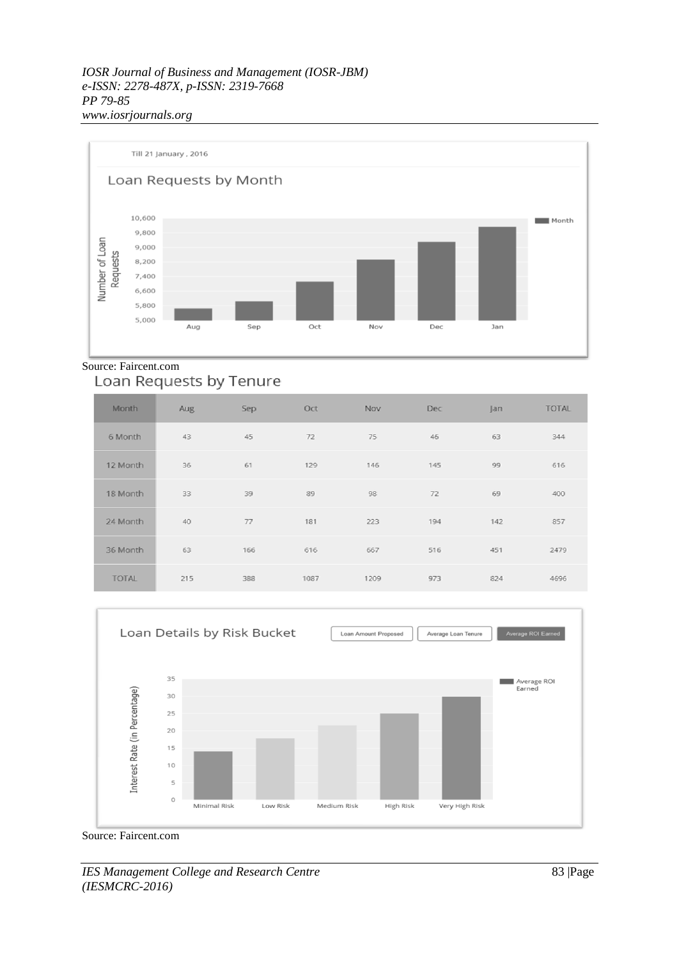

# Source: Faircent.com<br>Loan Requests by Tenure

| <b>Month</b> | Aug | Sep | Oct  | Nov  | Dec | an  | <b>TOTAL</b> |
|--------------|-----|-----|------|------|-----|-----|--------------|
| 6 Month      | 43  | 45  | 72   | 75   | 46  | 63  | 344          |
| 12 Month     | 36  | 61  | 129  | 146  | 145 | 99  | 616          |
| 18 Month     | 33  | 39  | 89   | 98   | 72  | 69  | 400          |
| 24 Month     | 40  | 77  | 181  | 223  | 194 | 142 | 857          |
| 36 Month     | 63  | 166 | 616  | 667  | 516 | 451 | 2479         |
| <b>TOTAL</b> | 215 | 388 | 1087 | 1209 | 973 | 824 | 4696         |



Source: Faircent.com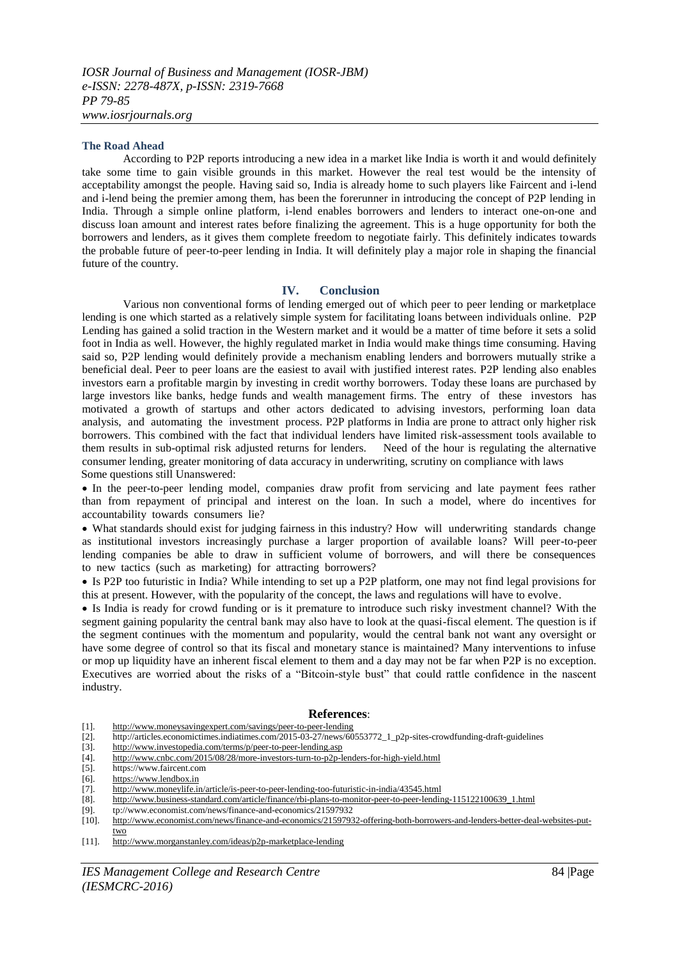#### **The Road Ahead**

According to P2P reports introducing a new idea in a market like India is worth it and would definitely take some time to gain visible grounds in this market. However the real test would be the intensity of acceptability amongst the people. Having said so, India is already home to such players like Faircent and i-lend and i-lend being the premier among them, has been the forerunner in introducing the concept of P2P lending in India. Through a simple online platform, i-lend enables borrowers and lenders to interact one-on-one and discuss loan amount and interest rates before finalizing the agreement. This is a huge opportunity for both the borrowers and lenders, as it gives them complete freedom to negotiate fairly. This definitely indicates towards the probable future of peer-to-peer lending in India. It will definitely play a major role in shaping the financial future of the country.

#### **IV. Conclusion**

Various non conventional forms of lending emerged out of which peer to peer lending or marketplace lending is one which started as a relatively simple system for facilitating loans between individuals online. P2P Lending has gained a solid traction in the Western market and it would be a matter of time before it sets a solid foot in India as well. However, the highly regulated market in India would make things time consuming. Having said so, P2P lending would definitely provide a mechanism enabling lenders and borrowers mutually strike a beneficial deal. Peer to peer loans are the easiest to avail with justified interest rates. P2P lending also enables investors earn a profitable margin by investing in credit worthy borrowers. Today these loans are purchased by large investors like banks, hedge funds and wealth management firms. The entry of these investors has motivated a growth of startups and other actors dedicated to advising investors, performing loan data analysis, and automating the investment process. P2P platforms in India are prone to attract only higher risk borrowers. This combined with the fact that individual lenders have limited risk-assessment tools available to them results in sub-optimal risk adjusted returns for lenders. Need of the hour is regulating the alternative consumer lending, greater monitoring of data accuracy in underwriting, scrutiny on compliance with laws Some questions still Unanswered:

 In the peer-to-peer lending model, companies draw profit from servicing and late payment fees rather than from repayment of principal and interest on the loan. In such a model, where do incentives for accountability towards consumers lie?

 What standards should exist for judging fairness in this industry? How will underwriting standards change as institutional investors increasingly purchase a larger proportion of available loans? Will peer-to-peer lending companies be able to draw in sufficient volume of borrowers, and will there be consequences to new tactics (such as marketing) for attracting borrowers?

 Is P2P too futuristic in India? While intending to set up a P2P platform, one may not find legal provisions for this at present. However, with the popularity of the concept, the laws and regulations will have to evolve.

 Is India is ready for crowd funding or is it premature to introduce such risky investment channel? With the segment gaining popularity the central bank may also have to look at the quasi-fiscal element. The question is if the segment continues with the momentum and popularity, would the central bank not want any oversight or have some degree of control so that its fiscal and monetary stance is maintained? Many interventions to infuse or mop up liquidity have an inherent fiscal element to them and a day may not be far when P2P is no exception. Executives are worried about the risks of a "Bitcoin-style bust" that could rattle confidence in the nascent industry.

#### **References**:

[1]. <http://www.moneysavingexpert.com/savings/peer-to-peer-lending>

- [2]. http://articles.economictimes.indiatimes.com/2015-03-27/news/60553772\_1\_p2p-sites-crowdfunding-draft-guidelines
- [3]. <http://www.investopedia.com/terms/p/peer-to-peer-lending.asp><br>[4]. http://www.cnbc.com/2015/08/28/more-investors-turn-to-p2p-l
- [4]. <http://www.cnbc.com/2015/08/28/more-investors-turn-to-p2p-lenders-for-high-yield.html>
- [5]. https://www.faircent.com<br>[6]. https://www.lendbox.in
- [6].  $\frac{https://www.lengthbox.in}{http://www.lengthbox.in}$
- <http://www.moneylife.in/article/is-peer-to-peer-lending-too-futuristic-in-india/43545.html>
- [8]. [http://www.business-standard.com/article/finance/rbi-plans-to-monitor-peer-to-peer-lending-115122100639\\_1.html](http://www.business-standard.com/article/finance/rbi-plans-to-monitor-peer-to-peer-lending-115122100639_1.html)
- [9]. tp://www.economist.com/news/finance-and-economics/21597932
- [10]. [http://www.economist.com/news/finance-and-economics/21597932-offering-both-borrowers-and-lenders-better-deal-websites-put](http://www.economist.com/news/finance-and-economics/21597932-offering-both-borrowers-and-lenders-better-deal-websites-put-two)[two](http://www.economist.com/news/finance-and-economics/21597932-offering-both-borrowers-and-lenders-better-deal-websites-put-two)
- [11]. <http://www.morganstanley.com/ideas/p2p-marketplace-lending>